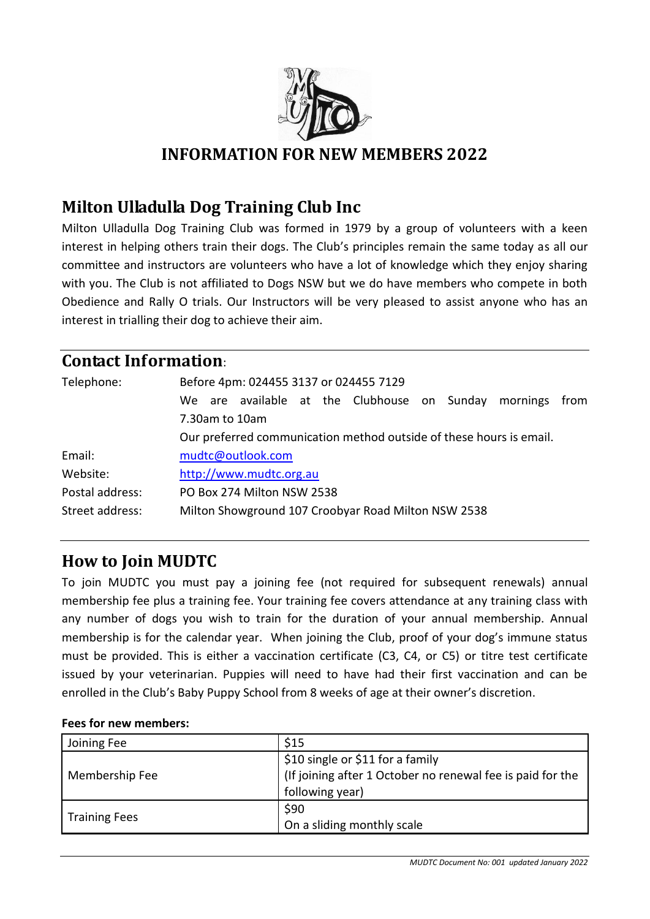

# **INFORMATION FOR NEW MEMBERS 2022**

# **Milton Ulladulla Dog Training Club Inc**

Milton Ulladulla Dog Training Club was formed in 1979 by a group of volunteers with a keen interest in helping others train their dogs. The Club's principles remain the same today as all our committee and instructors are volunteers who have a lot of knowledge which they enjoy sharing with you. The Club is not affiliated to Dogs NSW but we do have members who compete in both Obedience and Rally O trials. Our Instructors will be very pleased to assist anyone who has an interest in trialling their dog to achieve their aim.

### **Contact Information**:

| Telephone:      | Before 4pm: 024455 3137 or 024455 7129<br>We are available at the Clubhouse on Sunday<br>mornings<br>from<br>7.30am to 10am<br>Our preferred communication method outside of these hours is email. |  |  |
|-----------------|----------------------------------------------------------------------------------------------------------------------------------------------------------------------------------------------------|--|--|
| Email:          | mudtc@outlook.com                                                                                                                                                                                  |  |  |
| Website:        | http://www.mudtc.org.au                                                                                                                                                                            |  |  |
| Postal address: | PO Box 274 Milton NSW 2538                                                                                                                                                                         |  |  |
| Street address: | Milton Showground 107 Croobyar Road Milton NSW 2538                                                                                                                                                |  |  |

# **How to Join MUDTC**

To join MUDTC you must pay a joining fee (not required for subsequent renewals) annual membership fee plus a training fee. Your training fee covers attendance at any training class with any number of dogs you wish to train for the duration of your annual membership. Annual membership is for the calendar year. When joining the Club, proof of your dog's immune status must be provided. This is either a vaccination certificate (C3, C4, or C5) or titre test certificate issued by your veterinarian. Puppies will need to have had their first vaccination and can be enrolled in the Club's Baby Puppy School from 8 weeks of age at their owner's discretion.

#### **Fees for new members:**

| Joining Fee          | \$15                                                       |
|----------------------|------------------------------------------------------------|
|                      | \$10 single or \$11 for a family                           |
| Membership Fee       | (If joining after 1 October no renewal fee is paid for the |
|                      | following year)                                            |
|                      | \$90                                                       |
| <b>Training Fees</b> | On a sliding monthly scale                                 |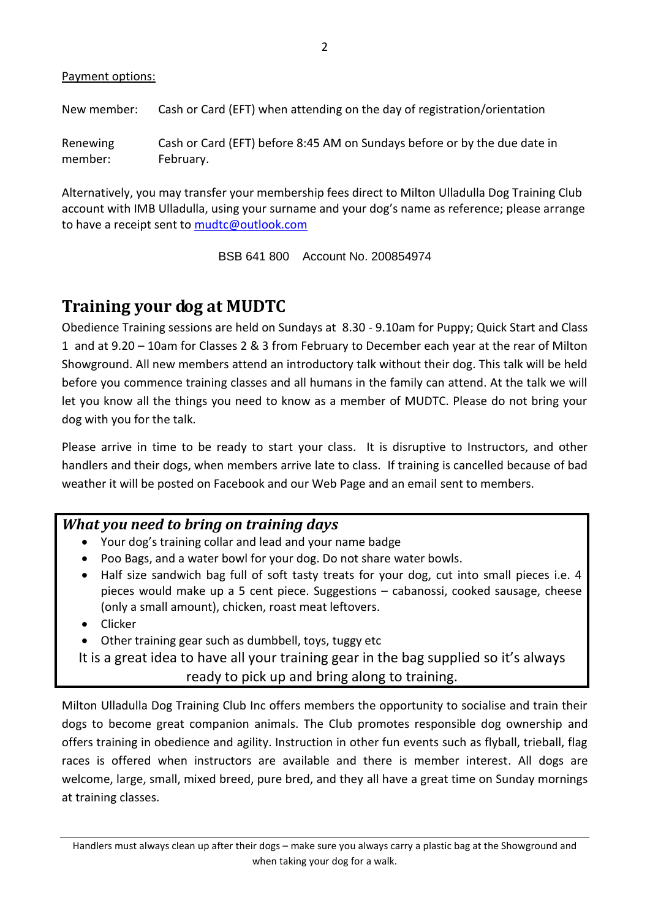#### Payment options:

New member: Cash or Card (EFT) when attending on the day of registration/orientation

Renewing member: Cash or Card (EFT) before 8:45 AM on Sundays before or by the due date in February.

Alternatively, you may transfer your membership fees direct to Milton Ulladulla Dog Training Club account with IMB Ulladulla, using your surname and your dog's name as reference; please arrange to have a receipt sent to [mudtc@outlook.com](mailto:mudtc@outlook.com)

BSB 641 800 Account No. 200854974

## **Training your dog at MUDTC**

Obedience Training sessions are held on Sundays at 8.30 - 9.10am for Puppy; Quick Start and Class 1 and at 9.20 – 10am for Classes 2 & 3 from February to December each year at the rear of Milton Showground. All new members attend an introductory talk without their dog. This talk will be held before you commence training classes and all humans in the family can attend. At the talk we will let you know all the things you need to know as a member of MUDTC. Please do not bring your dog with you for the talk.

Please arrive in time to be ready to start your class. It is disruptive to Instructors, and other handlers and their dogs, when members arrive late to class. If training is cancelled because of bad weather it will be posted on Facebook and our Web Page and an email sent to members.

#### *What you need to bring on training days*

- Your dog's training collar and lead and your name badge
- Poo Bags, and a water bowl for your dog. Do not share water bowls.
- Half size sandwich bag full of soft tasty treats for your dog, cut into small pieces i.e. 4 pieces would make up a 5 cent piece. Suggestions – cabanossi, cooked sausage, cheese (only a small amount), chicken, roast meat leftovers.
- Clicker
- Other training gear such as dumbbell, toys, tuggy etc

It is a great idea to have all your training gear in the bag supplied so it's always ready to pick up and bring along to training.

Milton Ulladulla Dog Training Club Inc offers members the opportunity to socialise and train their dogs to become great companion animals. The Club promotes responsible dog ownership and offers training in obedience and agility. Instruction in other fun events such as flyball, trieball, flag races is offered when instructors are available and there is member interest. All dogs are welcome, large, small, mixed breed, pure bred, and they all have a great time on Sunday mornings at training classes.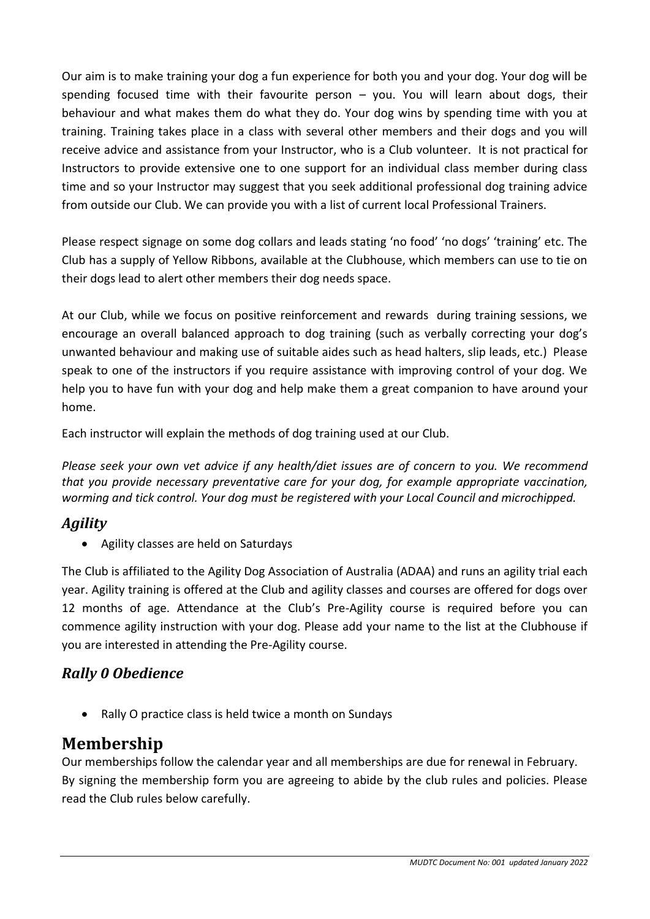Our aim is to make training your dog a fun experience for both you and your dog. Your dog will be spending focused time with their favourite person  $-$  you. You will learn about dogs, their behaviour and what makes them do what they do. Your dog wins by spending time with you at training. Training takes place in a class with several other members and their dogs and you will receive advice and assistance from your Instructor, who is a Club volunteer. It is not practical for Instructors to provide extensive one to one support for an individual class member during class time and so your Instructor may suggest that you seek additional professional dog training advice from outside our Club. We can provide you with a list of current local Professional Trainers.

Please respect signage on some dog collars and leads stating 'no food' 'no dogs' 'training' etc. The Club has a supply of Yellow Ribbons, available at the Clubhouse, which members can use to tie on their dogs lead to alert other members their dog needs space.

At our Club, while we focus on positive reinforcement and rewards during training sessions, we encourage an overall balanced approach to dog training (such as verbally correcting your dog's unwanted behaviour and making use of suitable aides such as head halters, slip leads, etc.) Please speak to one of the instructors if you require assistance with improving control of your dog. We help you to have fun with your dog and help make them a great companion to have around your home.

Each instructor will explain the methods of dog training used at our Club.

*Please seek your own vet advice if any health/diet issues are of concern to you. We recommend that you provide necessary preventative care for your dog, for example appropriate vaccination, worming and tick control. Your dog must be registered with your Local Council and microchipped.* 

# *Agility*

Agility classes are held on Saturdays

The Club is affiliated to the Agility Dog Association of Australia (ADAA) and runs an agility trial each year. Agility training is offered at the Club and agility classes and courses are offered for dogs over 12 months of age. Attendance at the Club's Pre-Agility course is required before you can commence agility instruction with your dog. Please add your name to the list at the Clubhouse if you are interested in attending the Pre-Agility course.

## *Rally 0 Obedience*

• Rally O practice class is held twice a month on Sundays

# **Membership**

Our memberships follow the calendar year and all memberships are due for renewal in February. By signing the membership form you are agreeing to abide by the club rules and policies. Please read the Club rules below carefully.